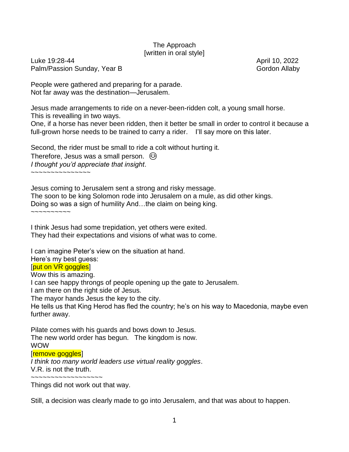## The Approach [written in oral style]

Luke 19:28-44 April 10, 2022 Palm/Passion Sunday, Year B Gordon Allaby

People were gathered and preparing for a parade. Not far away was the destination—Jerusalem.

Jesus made arrangements to ride on a never-been-ridden colt, a young small horse.

This is revealling in two ways.

One, if a horse has never been ridden, then it better be small in order to control it because a full-grown horse needs to be trained to carry a rider. I'll say more on this later.

Second, the rider must be small to ride a colt without hurting it.

Therefore, Jesus was a small person.  $\odot$ *I thought you'd appreciate that insight*.

~~~~~~~~~~~~~~~

Jesus coming to Jerusalem sent a strong and risky message.

The soon to be king Solomon rode into Jerusalem on a mule, as did other kings.

Doing so was a sign of humility And…the claim on being king.

~~~~~~~~~~

I think Jesus had some trepidation, yet others were exited. They had their expectations and visions of what was to come.

I can imagine Peter's view on the situation at hand.

Here's my best guess:

## [put on VR goggles]

Wow this is amazing.

I can see happy throngs of people opening up the gate to Jerusalem.

I am there on the right side of Jesus.

The mayor hands Jesus the key to the city.

He tells us that King Herod has fled the country; he's on his way to Macedonia, maybe even further away.

Pilate comes with his guards and bows down to Jesus. The new world order has begun. The kingdom is now. WOW [remove goggles]

*I think too many world leaders use virtual reality goggles*. V.R. is not the truth.

~~~~~~~~~~~~~~~~~~

Things did not work out that way.

Still, a decision was clearly made to go into Jerusalem, and that was about to happen.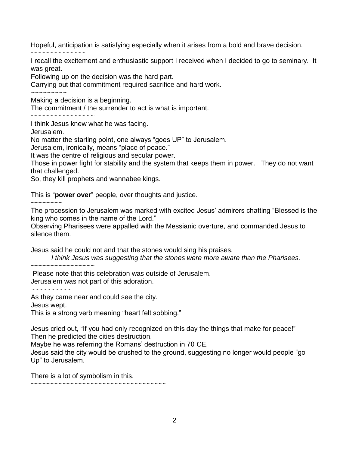Hopeful, anticipation is satisfying especially when it arises from a bold and brave decision.

~~~~~~~~~~~~~~ I recall the excitement and enthusiastic support I received when I decided to go to seminary. It was great.

Following up on the decision was the hard part.

Carrying out that commitment required sacrifice and hard work.

Making a decision is a beginning.

The commitment / the surrender to act is what is important.

~~~~~~~~~~~~~~~~

I think Jesus knew what he was facing.

Jerusalem.

~~~~~~~~~

No matter the starting point, one always "goes UP" to Jerusalem.

Jerusalem, ironically, means "place of peace."

It was the centre of religious and secular power.

Those in power fight for stability and the system that keeps them in power. They do not want that challenged.

So, they kill prophets and wannabee kings.

This is "**power over**" people, over thoughts and justice.

~~~~~~~~

The procession to Jerusalem was marked with excited Jesus' admirers chatting "Blessed is the king who comes in the name of the Lord."

Observing Pharisees were appalled with the Messianic overture, and commanded Jesus to silence them.

Jesus said he could not and that the stones would sing his praises.

*I think Jesus was suggesting that the stones were more aware than the Pharisees.*

~~~~~~~~~~~~~~~~

Please note that this celebration was outside of Jerusalem. Jerusalem was not part of this adoration.

~~~~~~~~~~

As they came near and could see the city.

Jesus wept.

This is a strong verb meaning "heart felt sobbing."

Jesus cried out, "If you had only recognized on this day the things that make for peace!" Then he predicted the cities destruction.

Maybe he was referring the Romans' destruction in 70 CE.

Jesus said the city would be crushed to the ground, suggesting no longer would people "go Up" to Jerusalem.

There is a lot of symbolism in this.

~~~~~~~~~~~~~~~~~~~~~~~~~~~~~~~~~~~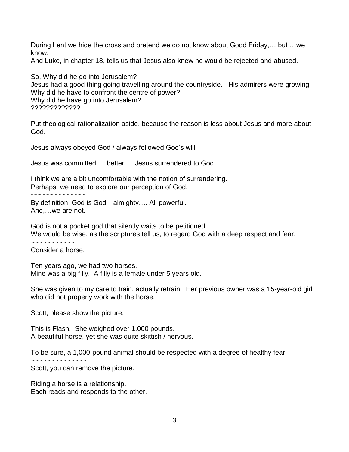During Lent we hide the cross and pretend we do not know about Good Friday,… but …we know.

And Luke, in chapter 18, tells us that Jesus also knew he would be rejected and abused.

So, Why did he go into Jerusalem? Jesus had a good thing going travelling around the countryside. His admirers were growing. Why did he have to confront the centre of power? Why did he have go into Jerusalem? ?????????????

Put theological rationalization aside, because the reason is less about Jesus and more about God.

Jesus always obeyed God / always followed God's will.

Jesus was committed,… better…. Jesus surrendered to God.

I think we are a bit uncomfortable with the notion of surrendering. Perhaps, we need to explore our perception of God.

~~~~~~~~~~~~

By definition, God is God—almighty…. All powerful. And,…we are not.

God is not a pocket god that silently waits to be petitioned. We would be wise, as the scriptures tell us, to regard God with a deep respect and fear.

~~~~~~~~~~~ Consider a horse.

Ten years ago, we had two horses. Mine was a big filly. A filly is a female under 5 years old.

She was given to my care to train, actually retrain. Her previous owner was a 15-year-old girl who did not properly work with the horse.

Scott, please show the picture.

This is Flash. She weighed over 1,000 pounds. A beautiful horse, yet she was quite skittish / nervous.

To be sure, a 1,000-pound animal should be respected with a degree of healthy fear.

~~~~~~~~~~~~~~

Scott, you can remove the picture.

Riding a horse is a relationship. Each reads and responds to the other.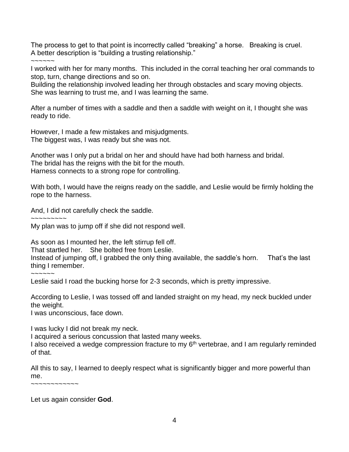The process to get to that point is incorrectly called "breaking" a horse. Breaking is cruel. A better description is "building a trusting relationship."

~~~~~

I worked with her for many months. This included in the corral teaching her oral commands to stop, turn, change directions and so on.

Building the relationship involved leading her through obstacles and scary moving objects. She was learning to trust me, and I was learning the same.

After a number of times with a saddle and then a saddle with weight on it, I thought she was ready to ride.

However, I made a few mistakes and misjudgments. The biggest was, I was ready but she was not.

Another was I only put a bridal on her and should have had both harness and bridal. The bridal has the reigns with the bit for the mouth. Harness connects to a strong rope for controlling.

With both, I would have the reigns ready on the saddle, and Leslie would be firmly holding the rope to the harness.

And, I did not carefully check the saddle.

 $\sim$   $\sim$   $\sim$   $\sim$   $\sim$   $\sim$   $\sim$ 

My plan was to jump off if she did not respond well.

As soon as I mounted her, the left stirrup fell off.

That startled her. She bolted free from Leslie.

Instead of jumping off, I grabbed the only thing available, the saddle's horn. That's the last thing I remember.

~~~~~~

Leslie said I road the bucking horse for 2-3 seconds, which is pretty impressive.

According to Leslie, I was tossed off and landed straight on my head, my neck buckled under the weight.

I was unconscious, face down.

I was lucky I did not break my neck.

I acquired a serious concussion that lasted many weeks.

I also received a wedge compression fracture to my 6<sup>th</sup> vertebrae, and I am regularly reminded of that.

All this to say, I learned to deeply respect what is significantly bigger and more powerful than me.

~~~~~~~~~~~~

Let us again consider **God**.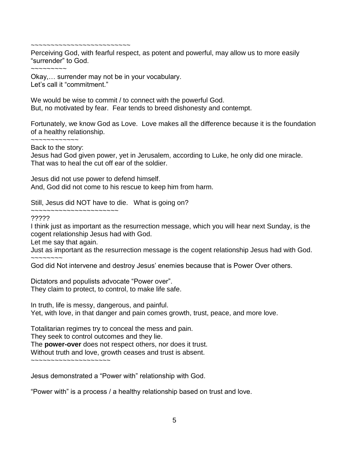~~~~~~~~~~~~~~~~~~~~~~~~~

Perceiving God, with fearful respect, as potent and powerful, may allow us to more easily "surrender" to God.

~~~~~~~~~

Okay,… surrender may not be in your vocabulary. Let's call it "commitment."

We would be wise to commit / to connect with the powerful God. But, no motivated by fear. Fear tends to breed dishonesty and contempt.

Fortunately, we know God as Love. Love makes all the difference because it is the foundation of a healthy relationship.

~~~~~~~~~~~~ Back to the story:

Jesus had God given power, yet in Jerusalem, according to Luke, he only did one miracle. That was to heal the cut off ear of the soldier.

Jesus did not use power to defend himself. And, God did not come to his rescue to keep him from harm.

Still, Jesus did NOT have to die. What is going on?

~~~~~~~~~~~~~~~~~~~~~~

?????

I think just as important as the resurrection message, which you will hear next Sunday, is the cogent relationship Jesus had with God.

Let me say that again.

Just as important as the resurrection message is the cogent relationship Jesus had with God. ~~~~~~~~

God did Not intervene and destroy Jesus' enemies because that is Power Over others.

Dictators and populists advocate "Power over". They claim to protect, to control, to make life safe.

In truth, life is messy, dangerous, and painful. Yet, with love, in that danger and pain comes growth, trust, peace, and more love.

Totalitarian regimes try to conceal the mess and pain. They seek to control outcomes and they lie.

The **power-over** does not respect others, nor does it trust.

Without truth and love, growth ceases and trust is absent.

~~~~~~~~~~~~~~~~~~

Jesus demonstrated a "Power with" relationship with God.

"Power with" is a process / a healthy relationship based on trust and love.